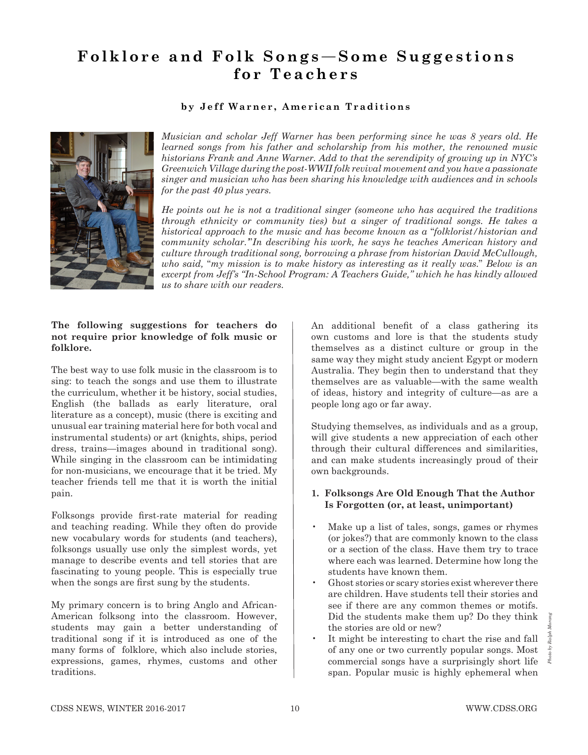# **Folklore and Folk Songs**—**Some Suggestions for Teachers**

## **by Jeff Warner, American Traditions**



*Musician and scholar Jeff Warner has been performing since he was 8 years old. He learned songs from his father and scholarship from his mother, the renowned music historians Frank and Anne Warner. Add to that the serendipity of growing up in NYC's Greenwich Village during the post-WWII folk revival movement and you have a passionate singer and musician who has been sharing his knowledge with audiences and in schools for the past 40 plus years.*

*He points out he is not a traditional singer (someone who has acquired the traditions through ethnicity or community ties) but a singer of traditional songs. He takes a historical approach to the music and has become known as a* "*folklorist/historian and community scholar.'*"*In describing his work, he says he teaches American history and culture through traditional song, borrowing a phrase from historian David McCullough, who said,* "*my mission is to make history as interesting as it really was.*" *Below is an excerpt from Jeff's "In-School Program: A Teachers Guide," which he has kindly allowed us to share with our readers.*

#### **The following suggestions for teachers do not require prior knowledge of folk music or folklore.**

The best way to use folk music in the classroom is to sing: to teach the songs and use them to illustrate the curriculum, whether it be history, social studies, English (the ballads as early literature, oral literature as a concept), music (there is exciting and unusual ear training material here for both vocal and instrumental students) or art (knights, ships, period dress, trains—images abound in traditional song). While singing in the classroom can be intimidating for non-musicians, we encourage that it be tried. My teacher friends tell me that it is worth the initial pain.

Folksongs provide first-rate material for reading and teaching reading. While they often do provide new vocabulary words for students (and teachers), folksongs usually use only the simplest words, yet manage to describe events and tell stories that are fascinating to young people. This is especially true when the songs are first sung by the students.

My primary concern is to bring Anglo and African-American folksong into the classroom. However, students may gain a better understanding of traditional song if it is introduced as one of the many forms of folklore, which also include stories, expressions, games, rhymes, customs and other traditions.

An additional benefit of a class gathering its own customs and lore is that the students study themselves as a distinct culture or group in the same way they might study ancient Egypt or modern Australia. They begin then to understand that they themselves are as valuable—with the same wealth of ideas, history and integrity of culture—as are a people long ago or far away.

Studying themselves, as individuals and as a group, will give students a new appreciation of each other through their cultural differences and similarities, and can make students increasingly proud of their own backgrounds.

## **1. Folksongs Are Old Enough That the Author Is Forgotten (or, at least, unimportant)**

- Make up a list of tales, songs, games or rhymes (or jokes?) that are commonly known to the class or a section of the class. Have them try to trace where each was learned. Determine how long the students have known them.
- Ghost stories or scary stories exist wherever there are children. Have students tell their stories and see if there are any common themes or motifs. Did the students make them up? Do they think the stories are old or new?
- It might be interesting to chart the rise and fall of any one or two currently popular songs. Most commercial songs have a surprisingly short life span. Popular music is highly ephemeral when